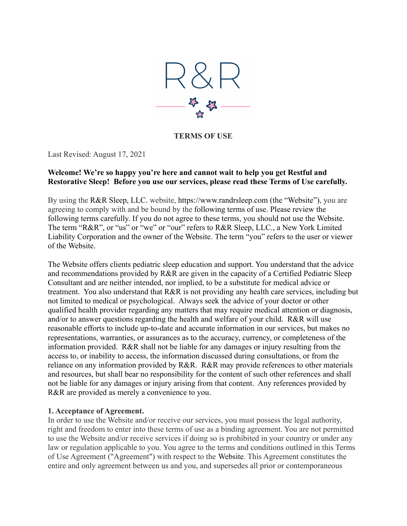

**TERMS OF USE**

Last Revised: August 17, 2021

#### **Welcome! We're so happy you're here and cannot wait to help you get Restful and Restorative Sleep! Before you use our services, please read these Terms of Use carefully.**

By using the R&R Sleep, LLC. website, https://www.randrsleep.com (the "Website"), you are agreeing to comply with and be bound by the following terms of use. Please review the following terms carefully. If you do not agree to these terms, you should not use the Website. The term "R&R", or "us" or "we" or "our" refers to R&R Sleep, LLC., a New York Limited Liability Corporation and the owner of the Website. The term "you" refers to the user or viewer of the Website.

The Website offers clients pediatric sleep education and support. You understand that the advice and recommendations provided by R&R are given in the capacity of a Certified Pediatric Sleep Consultant and are neither intended, nor implied, to be a substitute for medical advice or treatment. You also understand that R&R is not providing any health care services, including but not limited to medical or psychological. Always seek the advice of your doctor or other qualified health provider regarding any matters that may require medical attention or diagnosis, and/or to answer questions regarding the health and welfare of your child. R&R will use reasonable efforts to include up-to-date and accurate information in our services, but makes no representations, warranties, or assurances as to the accuracy, currency, or completeness of the information provided. R&R shall not be liable for any damages or injury resulting from the access to, or inability to access, the information discussed during consultations, or from the reliance on any information provided by R&R. R&R may provide references to other materials and resources, but shall bear no responsibility for the content of such other references and shall not be liable for any damages or injury arising from that content. Any references provided by R&R are provided as merely a convenience to you.

### **1. Acceptance of Agreement.**

In order to use the Website and/or receive our services, you must possess the legal authority, right and freedom to enter into these terms of use as a binding agreement. You are not permitted to use the Website and/or receive services if doing so is prohibited in your country or under any law or regulation applicable to you. You agree to the terms and conditions outlined in this Terms of Use Agreement ("Agreement") with respect to the Website. This Agreement constitutes the entire and only agreement between us and you, and supersedes all prior or contemporaneous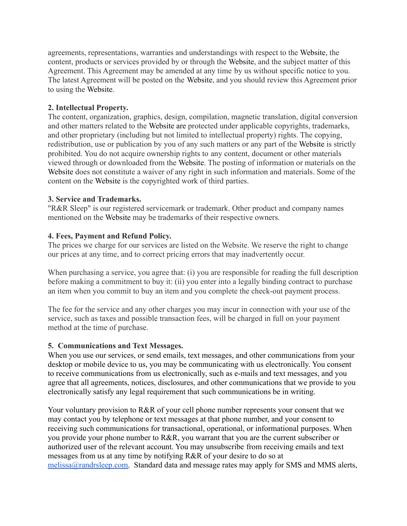agreements, representations, warranties and understandings with respect to the Website, the content, products or services provided by or through the Website, and the subject matter of this Agreement. This Agreement may be amended at any time by us without specific notice to you. The latest Agreement will be posted on the Website, and you should review this Agreement prior to using the Website.

### **2. Intellectual Property.**

The content, organization, graphics, design, compilation, magnetic translation, digital conversion and other matters related to the Website are protected under applicable copyrights, trademarks, and other proprietary (including but not limited to intellectual property) rights. The copying, redistribution, use or publication by you of any such matters or any part of the Website is strictly prohibited. You do not acquire ownership rights to any content, document or other materials viewed through or downloaded from the Website. The posting of information or materials on the Website does not constitute a waiver of any right in such information and materials. Some of the content on the Website is the copyrighted work of third parties.

#### **3. Service and Trademarks.**

"R&R Sleep" is our registered servicemark or trademark. Other product and company names mentioned on the Website may be trademarks of their respective owners.

#### **4. Fees, Payment and Refund Policy.**

The prices we charge for our services are listed on the Website. We reserve the right to change our prices at any time, and to correct pricing errors that may inadvertently occur.

When purchasing a service, you agree that: (i) you are responsible for reading the full description before making a commitment to buy it: (ii) you enter into a legally binding contract to purchase an item when you commit to buy an item and you complete the check-out payment process.

The fee for the service and any other charges you may incur in connection with your use of the service, such as taxes and possible transaction fees, will be charged in full on your payment method at the time of purchase.

#### **5. Communications and Text Messages.**

When you use our services, or send emails, text messages, and other communications from your desktop or mobile device to us, you may be communicating with us electronically. You consent to receive communications from us electronically, such as e-mails and text messages, and you agree that all agreements, notices, disclosures, and other communications that we provide to you electronically satisfy any legal requirement that such communications be in writing.

Your voluntary provision to R&R of your cell phone number represents your consent that we may contact you by telephone or text messages at that phone number, and your consent to receiving such communications for transactional, operational, or informational purposes. When you provide your phone number to R&R, you warrant that you are the current subscriber or authorized user of the relevant account. You may unsubscribe from receiving emails and text messages from us at any time by notifying R&R of your desire to do so at [melissa@randrsleep.com.](mailto:melissa@randrsleeo.com) Standard data and message rates may apply for SMS and MMS alerts,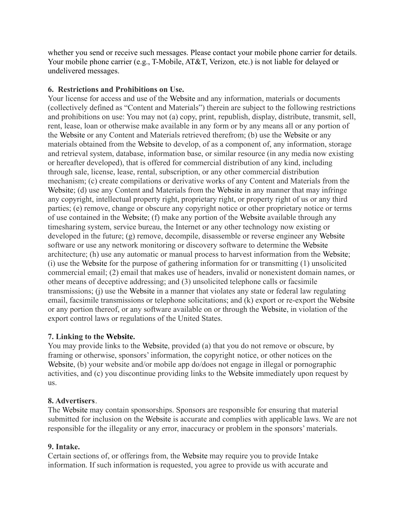whether you send or receive such messages. Please contact your mobile phone carrier for details. Your mobile phone carrier (e.g., T-Mobile, AT&T, Verizon, etc.) is not liable for delayed or undelivered messages.

### **6. Restrictions and Prohibitions on Use.**

Your license for access and use of the Website and any information, materials or documents (collectively defined as "Content and Materials") therein are subject to the following restrictions and prohibitions on use: You may not (a) copy, print, republish, display, distribute, transmit, sell, rent, lease, loan or otherwise make available in any form or by any means all or any portion of the Website or any Content and Materials retrieved therefrom; (b) use the Website or any materials obtained from the Website to develop, of as a component of, any information, storage and retrieval system, database, information base, or similar resource (in any media now existing or hereafter developed), that is offered for commercial distribution of any kind, including through sale, license, lease, rental, subscription, or any other commercial distribution mechanism; (c) create compilations or derivative works of any Content and Materials from the Website; (d) use any Content and Materials from the Website in any manner that may infringe any copyright, intellectual property right, proprietary right, or property right of us or any third parties; (e) remove, change or obscure any copyright notice or other proprietary notice or terms of use contained in the Website; (f) make any portion of the Website available through any timesharing system, service bureau, the Internet or any other technology now existing or developed in the future; (g) remove, decompile, disassemble or reverse engineer any Website software or use any network monitoring or discovery software to determine the Website architecture; (h) use any automatic or manual process to harvest information from the Website; (i) use the Website for the purpose of gathering information for or transmitting (1) unsolicited commercial email; (2) email that makes use of headers, invalid or nonexistent domain names, or other means of deceptive addressing; and (3) unsolicited telephone calls or facsimile transmissions; (j) use the Website in a manner that violates any state or federal law regulating email, facsimile transmissions or telephone solicitations; and (k) export or re-export the Website or any portion thereof, or any software available on or through the Website, in violation of the export control laws or regulations of the United States.

# **7. Linking to the Website.**

You may provide links to the Website, provided (a) that you do not remove or obscure, by framing or otherwise, sponsors' information, the copyright notice, or other notices on the Website, (b) your website and/or mobile app do/does not engage in illegal or pornographic activities, and (c) you discontinue providing links to the Website immediately upon request by us.

### **8. Advertisers**.

The Website may contain sponsorships. Sponsors are responsible for ensuring that material submitted for inclusion on the Website is accurate and complies with applicable laws. We are not responsible for the illegality or any error, inaccuracy or problem in the sponsors' materials.

# **9. Intake.**

Certain sections of, or offerings from, the Website may require you to provide Intake information. If such information is requested, you agree to provide us with accurate and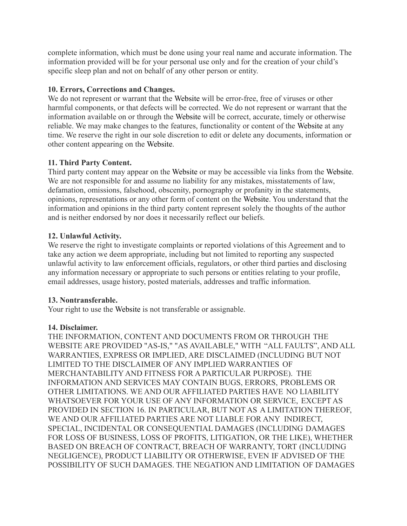complete information, which must be done using your real name and accurate information. The information provided will be for your personal use only and for the creation of your child's specific sleep plan and not on behalf of any other person or entity.

### **10. Errors, Corrections and Changes.**

We do not represent or warrant that the Website will be error-free, free of viruses or other harmful components, or that defects will be corrected. We do not represent or warrant that the information available on or through the Website will be correct, accurate, timely or otherwise reliable. We may make changes to the features, functionality or content of the Website at any time. We reserve the right in our sole discretion to edit or delete any documents, information or other content appearing on the Website.

### **11. Third Party Content.**

Third party content may appear on the Website or may be accessible via links from the Website. We are not responsible for and assume no liability for any mistakes, misstatements of law, defamation, omissions, falsehood, obscenity, pornography or profanity in the statements, opinions, representations or any other form of content on the Website. You understand that the information and opinions in the third party content represent solely the thoughts of the author and is neither endorsed by nor does it necessarily reflect our beliefs.

### **12. Unlawful Activity.**

We reserve the right to investigate complaints or reported violations of this Agreement and to take any action we deem appropriate, including but not limited to reporting any suspected unlawful activity to law enforcement officials, regulators, or other third parties and disclosing any information necessary or appropriate to such persons or entities relating to your profile, email addresses, usage history, posted materials, addresses and traffic information.

### **13. Nontransferable.**

Your right to use the Website is not transferable or assignable.

### **14. Disclaimer.**

THE INFORMATION, CONTENT AND DOCUMENTS FROM OR THROUGH THE WEBSITE ARE PROVIDED "AS-IS," "AS AVAILABLE," WITH "ALL FAULTS", AND ALL WARRANTIES, EXPRESS OR IMPLIED, ARE DISCLAIMED (INCLUDING BUT NOT LIMITED TO THE DISCLAIMER OF ANY IMPLIED WARRANTIES OF MERCHANTABILITY AND FITNESS FOR A PARTICULAR PURPOSE). THE INFORMATION AND SERVICES MAY CONTAIN BUGS, ERRORS, PROBLEMS OR OTHER LIMITATIONS. WE AND OUR AFFILIATED PARTIES HAVE NO LIABILITY WHATSOEVER FOR YOUR USE OF ANY INFORMATION OR SERVICE, EXCEPT AS PROVIDED IN SECTION 16. IN PARTICULAR, BUT NOT AS A LIMITATION THEREOF, WE AND OUR AFFILIATED PARTIES ARE NOT LIABLE FOR ANY INDIRECT, SPECIAL, INCIDENTAL OR CONSEQUENTIAL DAMAGES (INCLUDING DAMAGES FOR LOSS OF BUSINESS, LOSS OF PROFITS, LITIGATION, OR THE LIKE), WHETHER BASED ON BREACH OF CONTRACT, BREACH OF WARRANTY, TORT (INCLUDING NEGLIGENCE), PRODUCT LIABILITY OR OTHERWISE, EVEN IF ADVISED OF THE POSSIBILITY OF SUCH DAMAGES. THE NEGATION AND LIMITATION OF DAMAGES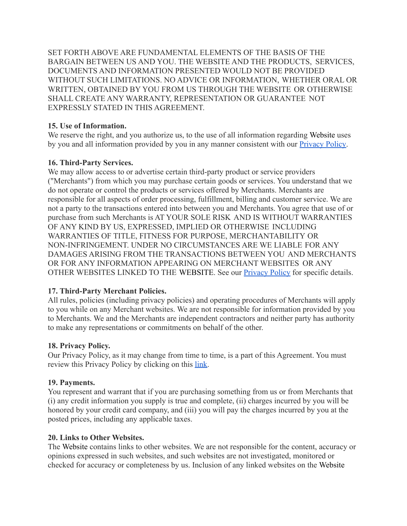SET FORTH ABOVE ARE FUNDAMENTAL ELEMENTS OF THE BASIS OF THE BARGAIN BETWEEN US AND YOU. THE WEBSITE AND THE PRODUCTS, SERVICES, DOCUMENTS AND INFORMATION PRESENTED WOULD NOT BE PROVIDED WITHOUT SUCH LIMITATIONS. NO ADVICE OR INFORMATION, WHETHER ORAL OR WRITTEN, OBTAINED BY YOU FROM US THROUGH THE WEBSITE OR OTHERWISE SHALL CREATE ANY WARRANTY, REPRESENTATION OR GUARANTEE NOT EXPRESSLY STATED IN THIS AGREEMENT.

### **15. Use of Information.**

We reserve the right, and you authorize us, to the use of all information regarding Website uses by you and all information provided by you in any manner consistent with our [Privacy Policy.](https://f9c5d4b4-500d-4e24-b4df-83bc8e9fabde.filesusr.com/ugd/3969b8_48234a8ac9e24285a47f5996ca09c581.pdf)

# **16. Third-Party Services.**

We may allow access to or advertise certain third-party product or service providers ("Merchants") from which you may purchase certain goods or services. You understand that we do not operate or control the products or services offered by Merchants. Merchants are responsible for all aspects of order processing, fulfillment, billing and customer service. We are not a party to the transactions entered into between you and Merchants. You agree that use of or purchase from such Merchants is AT YOUR SOLE RISK AND IS WITHOUT WARRANTIES OF ANY KIND BY US, EXPRESSED, IMPLIED OR OTHERWISE INCLUDING WARRANTIES OF TITLE, FITNESS FOR PURPOSE, MERCHANTABILITY OR NON-INFRINGEMENT. UNDER NO CIRCUMSTANCES ARE WE LIABLE FOR ANY DAMAGES ARISING FROM THE TRANSACTIONS BETWEEN YOU AND MERCHANTS OR FOR ANY INFORMATION APPEARING ON MERCHANT WEBSITES OR ANY OTHER WEBSITES LINKED TO THE WEBSITE. See our [Privacy](https://f9c5d4b4-500d-4e24-b4df-83bc8e9fabde.filesusr.com/ugd/3969b8_48234a8ac9e24285a47f5996ca09c581.pdf) Policy for specific details.

# **17. Third-Party Merchant Policies.**

All rules, policies (including privacy policies) and operating procedures of Merchants will apply to you while on any Merchant websites. We are not responsible for information provided by you to Merchants. We and the Merchants are independent contractors and neither party has authority to make any representations or commitments on behalf of the other.

### **18. Privacy Policy.**

Our Privacy Policy, as it may change from time to time, is a part of this Agreement. You must review this Privacy Policy by clicking on this [link.](https://f9c5d4b4-500d-4e24-b4df-83bc8e9fabde.filesusr.com/ugd/3969b8_48234a8ac9e24285a47f5996ca09c581.pdf)

### **19. Payments.**

You represent and warrant that if you are purchasing something from us or from Merchants that (i) any credit information you supply is true and complete, (ii) charges incurred by you will be honored by your credit card company, and (iii) you will pay the charges incurred by you at the posted prices, including any applicable taxes.

### **20. Links to Other Websites.**

The Website contains links to other websites. We are not responsible for the content, accuracy or opinions expressed in such websites, and such websites are not investigated, monitored or checked for accuracy or completeness by us. Inclusion of any linked websites on the Website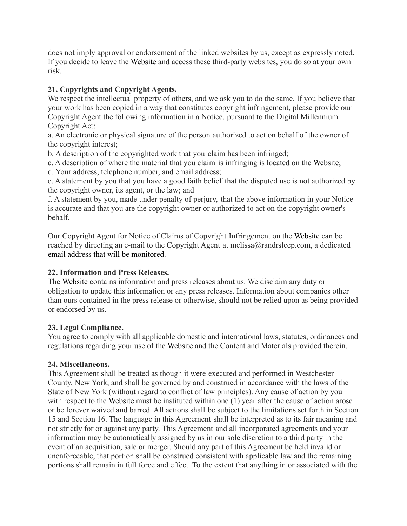does not imply approval or endorsement of the linked websites by us, except as expressly noted. If you decide to leave the Website and access these third-party websites, you do so at your own risk.

## **21. Copyrights and Copyright Agents.**

We respect the intellectual property of others, and we ask you to do the same. If you believe that your work has been copied in a way that constitutes copyright infringement, please provide our Copyright Agent the following information in a Notice, pursuant to the Digital Millennium Copyright Act:

a. An electronic or physical signature of the person authorized to act on behalf of the owner of the copyright interest;

b. A description of the copyrighted work that you claim has been infringed;

c. A description of where the material that you claim is infringing is located on the Website;

d. Your address, telephone number, and email address;

e. A statement by you that you have a good faith belief that the disputed use is not authorized by the copyright owner, its agent, or the law; and

f. A statement by you, made under penalty of perjury, that the above information in your Notice is accurate and that you are the copyright owner or authorized to act on the copyright owner's behalf.

Our Copyright Agent for Notice of Claims of Copyright Infringement on the Website can be reached by directing an e-mail to the Copyright Agent at melissa@randrsleep.com, a dedicated email address that will be monitored.

### **22. Information and Press Releases.**

The Website contains information and press releases about us. We disclaim any duty or obligation to update this information or any press releases. Information about companies other than ours contained in the press release or otherwise, should not be relied upon as being provided or endorsed by us.

# **23. Legal Compliance.**

You agree to comply with all applicable domestic and international laws, statutes, ordinances and regulations regarding your use of the Website and the Content and Materials provided therein.

### **24. Miscellaneous.**

This Agreement shall be treated as though it were executed and performed in Westchester County, New York, and shall be governed by and construed in accordance with the laws of the State of New York (without regard to conflict of law principles). Any cause of action by you with respect to the Website must be instituted within one (1) year after the cause of action arose or be forever waived and barred. All actions shall be subject to the limitations set forth in Section 15 and Section 16. The language in this Agreement shall be interpreted as to its fair meaning and not strictly for or against any party. This Agreement and all incorporated agreements and your information may be automatically assigned by us in our sole discretion to a third party in the event of an acquisition, sale or merger. Should any part of this Agreement be held invalid or unenforceable, that portion shall be construed consistent with applicable law and the remaining portions shall remain in full force and effect. To the extent that anything in or associated with the